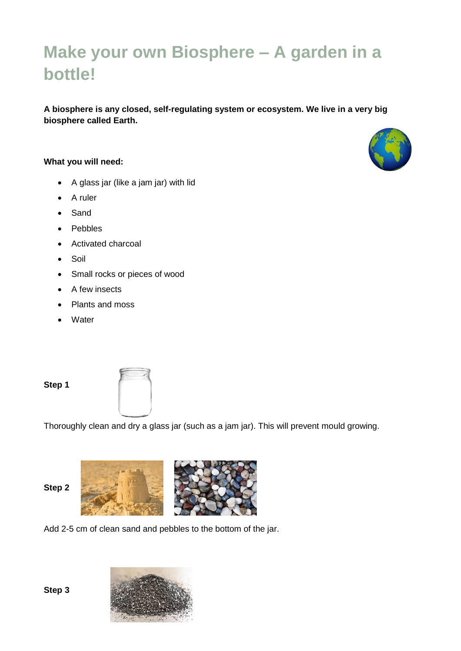# **Make your own Biosphere ‒ A garden in a bottle!**

**A biosphere is any closed, self-regulating system or ecosystem. We live in a very big biosphere called Earth.**

### **What you will need:**

- A glass jar (like a jam jar) with lid
- A ruler
- Sand
- Pebbles
- Activated charcoal
- Soil
- Small rocks or pieces of wood
- A few insects
- Plants and moss
- Water

## **Step 1**



Thoroughly clean and dry a glass jar (such as a jam jar). This will prevent mould growing.

## **Step 2**

**Step 3**



Add 2-5 cm of clean sand and pebbles to the bottom of the jar.



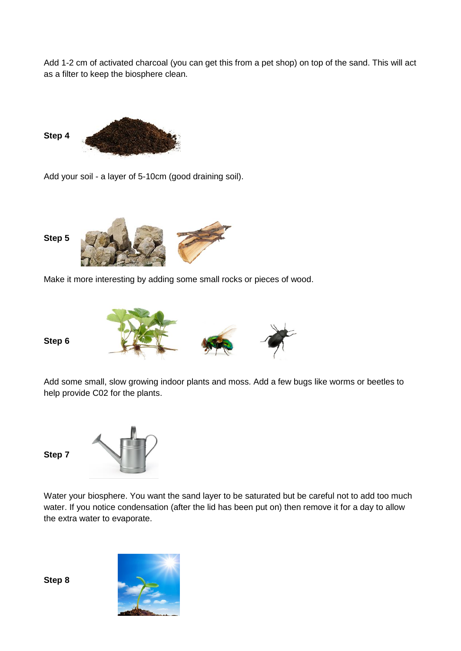Add 1-2 cm of activated charcoal (you can get this from a pet shop) on top of the sand. This will act as a filter to keep the biosphere clean.

Step 4 
$$
\frac{1}{\sqrt{2}} = \frac{1}{\sqrt{2}} = \frac{1}{\sqrt{2}} = \frac{1}{\sqrt{2}} = \frac{1}{\sqrt{2}} = \frac{1}{\sqrt{2}} = \frac{1}{\sqrt{2}} = \frac{1}{\sqrt{2}} = \frac{1}{\sqrt{2}} = \frac{1}{\sqrt{2}} = \frac{1}{\sqrt{2}} = \frac{1}{\sqrt{2}} = \frac{1}{\sqrt{2}} = \frac{1}{\sqrt{2}} = \frac{1}{\sqrt{2}} = \frac{1}{\sqrt{2}} = \frac{1}{\sqrt{2}} = \frac{1}{\sqrt{2}} = \frac{1}{\sqrt{2}} = \frac{1}{\sqrt{2}} = \frac{1}{\sqrt{2}} = \frac{1}{\sqrt{2}} = \frac{1}{\sqrt{2}} = \frac{1}{\sqrt{2}} = \frac{1}{\sqrt{2}} = \frac{1}{\sqrt{2}} = \frac{1}{\sqrt{2}} = \frac{1}{\sqrt{2}} = \frac{1}{\sqrt{2}} = \frac{1}{\sqrt{2}} = \frac{1}{\sqrt{2}} = \frac{1}{\sqrt{2}} = \frac{1}{\sqrt{2}} = \frac{1}{\sqrt{2}} = \frac{1}{\sqrt{2}} = \frac{1}{\sqrt{2}} = \frac{1}{\sqrt{2}} = \frac{1}{\sqrt{2}} = \frac{1}{\sqrt{2}} = \frac{1}{\sqrt{2}} = \frac{1}{\sqrt{2}} = \frac{1}{\sqrt{2}} = \frac{1}{\sqrt{2}} = \frac{1}{\sqrt{2}} = \frac{1}{\sqrt{2}} = \frac{1}{\sqrt{2}} = \frac{1}{\sqrt{2}} = \frac{1}{\sqrt{2}} = \frac{1}{\sqrt{2}} = \frac{1}{\sqrt{2}} = \frac{1}{\sqrt{2}} = \frac{1}{\sqrt{2}} = \frac{1}{\sqrt{2}} = \frac{1}{\sqrt{2}} = \frac{1}{\sqrt{2}} = \frac{1}{\sqrt{2}} = \frac{1}{\sqrt{2}} = \frac{1}{\sqrt{2}} = \frac{1}{\sqrt{2}} = \frac{1}{\sqrt{2}} = \frac{1}{\sqrt{2}} = \frac{1}{\sqrt{2}} = \frac{1}{\sqrt{2}} = \frac{1}{\sqrt{2}} = \frac{1}{\sqrt{2}} = \frac{1}{\sqrt{2}} = \frac{1}{\sqrt{2}} = \frac{1}{\sqrt{2}} = \frac{1}{\sqrt{2}} = \
$$

Add your soil - a layer of 5-10cm (good draining soil).



Make it more interesting by adding some small rocks or pieces of wood.



Add some small, slow growing indoor plants and moss. Add a few bugs like worms or beetles to help provide C02 for the plants.



**Step 7**

Water your biosphere. You want the sand layer to be saturated but be careful not to add too much water. If you notice condensation (after the lid has been put on) then remove it for a day to allow the extra water to evaporate.

**Step 8**